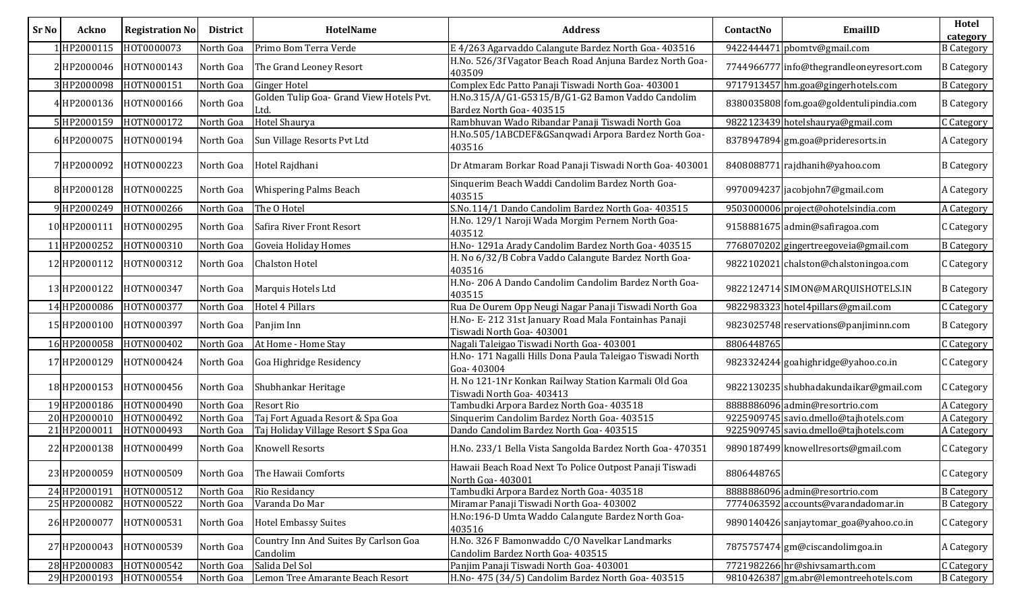| <b>Sr No</b> | Ackno        | <b>Registration No</b> | <b>District</b> | <b>HotelName</b>                                  | <b>Address</b>                                                                     | ContactNo  | EmailID                                  | Hotel<br>category |
|--------------|--------------|------------------------|-----------------|---------------------------------------------------|------------------------------------------------------------------------------------|------------|------------------------------------------|-------------------|
|              | 1HP2000115   | HOT0000073             | North Goa       | Primo Bom Terra Verde                             | E 4/263 Agarvaddo Calangute Bardez North Goa- 403516                               |            | 9422444471 pbomtv@gmail.com              | <b>B</b> Category |
|              | 2 HP2000046  | HOTN000143             | North Goa       | The Grand Leoney Resort                           | H.No. 526/3f Vagator Beach Road Anjuna Bardez North Goa-<br>403509                 |            | 7744966777 info@thegrandleoneyresort.com | <b>B</b> Category |
|              | 3 HP2000098  | HOTN000151             | North Goa       | <b>Ginger Hotel</b>                               | Complex Edc Patto Panaji Tiswadi North Goa- 403001                                 |            | 9717913457 hm.goa@gingerhotels.com       | <b>B</b> Category |
|              | 4HP2000136   | HOTN000166             | North Goa       | Golden Tulip Goa- Grand View Hotels Pvt.<br>Ltd.  | H.No.315/A/G1-G5315/B/G1-G2 Bamon Vaddo Candolim<br>Bardez North Goa- 403515       |            | 8380035808 fom.goa@goldentulipindia.com  | <b>B</b> Category |
|              | 5HP2000159   | HOTN000172             | North Goa       | Hotel Shaurya                                     | Rambhuvan Wado Ribandar Panaji Tiswadi North Goa                                   |            | 9822123439 hotelshaurya@gmail.com        | C Category        |
|              | 6 HP2000075  | HOTN000194             | North Goa       | Sun Village Resorts Pvt Ltd                       | H.No.505/1ABCDEF&GSanqwadi Arpora Bardez North Goa-<br>403516                      |            | 8378947894 gm.goa@prideresorts.in        | A Category        |
|              | 7HP2000092   | HOTN000223             | North Goa       | Hotel Rajdhani                                    | Dr Atmaram Borkar Road Panaji Tiswadi North Goa- 403001                            |            | 8408088771 rajdhanih@yahoo.com           | <b>B</b> Category |
|              | 8 HP2000128  | HOTN000225             | North Goa       | <b>Whispering Palms Beach</b>                     | Sinquerim Beach Waddi Candolim Bardez North Goa-<br>403515                         |            | 9970094237 jacobjohn7@gmail.com          | A Category        |
|              | 9 HP2000249  | HOTN000266             | North Goa       | The O Hotel                                       | S.No.114/1 Dando Candolim Bardez North Goa- 403515                                 |            | 9503000006 project@ohotelsindia.com      | A Category        |
|              | 10 HP2000111 | HOTN000295             | North Goa       | Safira River Front Resort                         | H.No. 129/1 Naroji Wada Morgim Pernem North Goa-<br>403512                         |            | 9158881675 admin@safiragoa.com           | C Category        |
|              | 11 HP2000252 | HOTN000310             | North Goa       | <b>Goveia Holiday Homes</b>                       | H.No-1291a Arady Candolim Bardez North Goa-403515                                  |            | 7768070202 gingertreegoveia@gmail.com    | <b>B</b> Category |
|              | 12 HP2000112 | HOTN000312             | North Goa       | <b>Chalston Hotel</b>                             | H. No 6/32/B Cobra Vaddo Calangute Bardez North Goa-<br>403516                     |            | 9822102021 chalston@chalstoningoa.com    | C Category        |
|              | 13 HP2000122 | HOTN000347             | North Goa       | Marquis Hotels Ltd                                | H.No-206 A Dando Candolim Candolim Bardez North Goa-<br>403515                     |            | 9822124714 SIMON@MARQUISHOTELS.IN        | <b>B</b> Category |
|              | 14 HP2000086 | HOTN000377             | North Goa       | Hotel 4 Pillars                                   | Rua De Ourem Opp Neugi Nagar Panaji Tiswadi North Goa                              |            | 9822983323 hotel4pillars@gmail.com       | C Category        |
|              | 15 HP2000100 | HOTN000397             | North Goa       | Panjim Inn                                        | H.No- E-212 31st January Road Mala Fontainhas Panaji<br>Tiswadi North Goa- 403001  |            | 9823025748 reservations@panjiminn.com    | <b>B</b> Category |
|              | 16 HP2000058 | HOTN000402             | North Goa       | At Home - Home Stay                               | Nagali Taleigao Tiswadi North Goa- 403001                                          | 8806448765 |                                          | C Category        |
|              | 17 HP2000129 | HOTN000424             | North Goa       | Goa Highridge Residency                           | H.No-171 Nagalli Hills Dona Paula Taleigao Tiswadi North<br>Goa-403004             |            | 9823324244 goahighridge@yahoo.co.in      | C Category        |
|              | 18 HP2000153 | HOTN000456             | North Goa       | Shubhankar Heritage                               | H. No 121-1Nr Konkan Railway Station Karmali Old Goa<br>Tiswadi North Goa- 403413  |            | 9822130235 shubhadakundaikar@gmail.com   | C Category        |
|              | 19 HP2000186 | HOTN000490             | North Goa       | <b>Resort Rio</b>                                 | Tambudki Arpora Bardez North Goa- 403518                                           |            | 8888886096 admin@resortrio.com           | A Category        |
|              | 20 HP2000010 | HOTN000492             | North Goa       | Taj Fort Aguada Resort & Spa Goa                  | Sinquerim Candolim Bardez North Goa- 403515                                        |            | 9225909745 savio.dmello@tajhotels.com    | A Category        |
|              | 21 HP2000011 | HOTN000493             | North Goa       | Taj Holiday Village Resort \$ Spa Goa             | Dando Candolim Bardez North Goa- 403515                                            |            | 9225909745 savio.dmello@tajhotels.com    | A Category        |
|              | 22 HP2000138 | HOTN000499             | North Goa       | <b>Knowell Resorts</b>                            | H.No. 233/1 Bella Vista Sangolda Bardez North Goa- 470351                          |            | 9890187499 knowellresorts@gmail.com      | C Category        |
|              | 23 HP2000059 | HOTN000509             |                 | North Goa The Hawaii Comforts                     | Hawaii Beach Road Next To Police Outpost Panaji Tiswadi<br>North Goa-403001        | 8806448765 |                                          | C Category        |
|              | 24 HP2000191 | HOTN000512             | North Goa       | Rio Residancy                                     | Tambudki Arpora Bardez North Goa- 403518                                           |            | 8888886096 admin@resortrio.com           | <b>B</b> Category |
|              | 25 HP2000082 | HOTN000522             | North Goa       | Varanda Do Mar                                    | Miramar Panaji Tiswadi North Goa- 403002                                           |            | 7774063592 accounts@varandadomar.in      | <b>B</b> Category |
|              | 26 HP2000077 | HOTN000531             | North Goa       | <b>Hotel Embassy Suites</b>                       | H.No:196-D Umta Waddo Calangute Bardez North Goa-<br>403516                        |            | 9890140426 sanjaytomar_goa@yahoo.co.in   | C Category        |
|              | 27 HP2000043 | HOTN000539             | North Goa       | Country Inn And Suites By Carlson Goa<br>Candolim | H.No. 326 F Bamonwaddo C/O Navelkar Landmarks<br>Candolim Bardez North Goa- 403515 |            | 7875757474 gm@ciscandolimgoa.in          | A Category        |
|              | 28 HP2000083 | HOTN000542             | North Goa       | Salida Del Sol                                    | Panjim Panaji Tiswadi North Goa- 403001                                            |            | 7721982266 hr@shivsamarth.com            | C Category        |
|              | 29 HP2000193 | HOTN000554             | North Goa       | Lemon Tree Amarante Beach Resort                  | H.No- 475 (34/5) Candolim Bardez North Goa- 403515                                 |            | 9810426387 gm.abr@lemontreehotels.com    | <b>B</b> Category |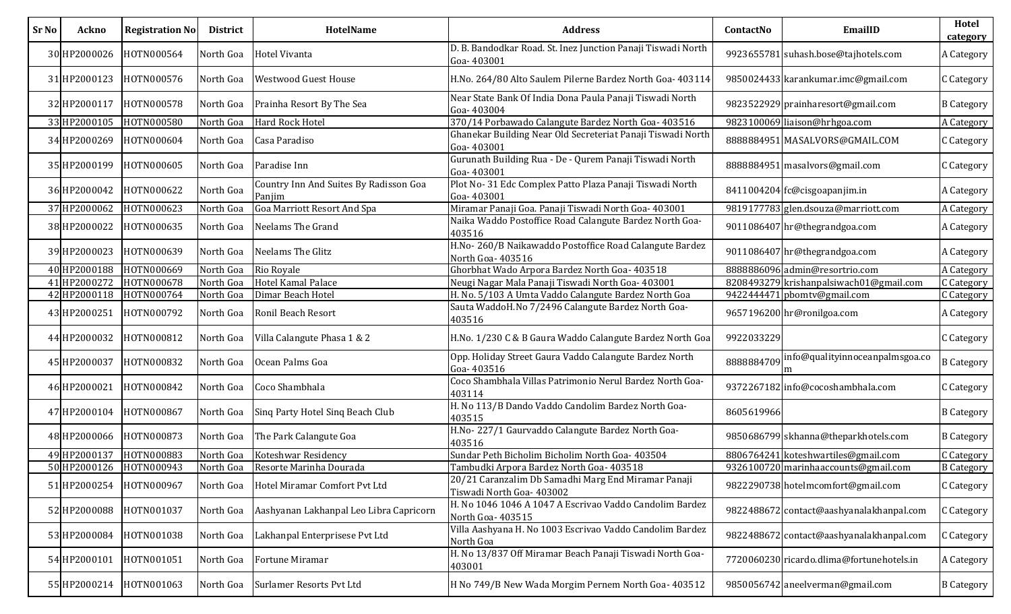| <b>Sr No</b> | Ackno        | <b>Registration No</b>  | <b>District</b> | <b>HotelName</b>                                 | <b>Address</b>                                                                   | ContactNo  | EmailID                                   | Hotel<br>category |
|--------------|--------------|-------------------------|-----------------|--------------------------------------------------|----------------------------------------------------------------------------------|------------|-------------------------------------------|-------------------|
|              | 30 HP2000026 | HOTN000564              | North Goa       | <b>Hotel Vivanta</b>                             | D. B. Bandodkar Road. St. Inez Junction Panaji Tiswadi North<br>Goa-403001       |            | 9923655781 suhash.bose@tajhotels.com      | A Category        |
|              | 31 HP2000123 | HOTN000576              | North Goa       | <b>Westwood Guest House</b>                      | H.No. 264/80 Alto Saulem Pilerne Bardez North Goa- 403114                        |            | 9850024433 karankumar.imc@gmail.com       | C Category        |
|              | 32 HP2000117 | HOTN000578              | North Goa       | Prainha Resort By The Sea                        | Near State Bank Of India Dona Paula Panaji Tiswadi North<br>Goa-403004           |            | 9823522929 prainharesort@gmail.com        | <b>B</b> Category |
|              | 33 HP2000105 | HOTN000580              | North Goa       | Hard Rock Hotel                                  | 370/14 Porbawado Calangute Bardez North Goa- 403516                              |            | 9823100069 liaison@hrhgoa.com             | A Category        |
|              | 34 HP2000269 | HOTN000604              | North Goa       | Casa Paradiso                                    | Ghanekar Building Near Old Secreteriat Panaji Tiswadi North<br>Goa-403001        |            | 8888884951 MASALVORS@GMAIL.COM            | C Category        |
|              | 35 HP2000199 | HOTN000605              | North Goa       | Paradise Inn                                     | Gurunath Building Rua - De - Qurem Panaji Tiswadi North<br>Goa-403001            |            | 8888884951 masalvors@gmail.com            | C Category        |
|              | 36 HP2000042 | HOTN000622              | North Goa       | Country Inn And Suites By Radisson Goa<br>Panjim | Plot No-31 Edc Complex Patto Plaza Panaji Tiswadi North<br>Goa-403001            |            | 8411004204 fc@cisgoapanjim.in             | A Category        |
|              | 37 HP2000062 | HOTN000623              | North Goa       | Goa Marriott Resort And Spa                      | Miramar Panaji Goa. Panaji Tiswadi North Goa- 403001                             |            | 9819177783 glen.dsouza@marriott.com       | A Category        |
|              | 38 HP2000022 | HOTN000635              | North Goa       | Neelams The Grand                                | Naika Waddo Postoffice Road Calangute Bardez North Goa-<br>403516                |            | 9011086407 hr@thegrandgoa.com             | A Category        |
|              | 39 HP2000023 | HOTN000639              | North Goa       | Neelams The Glitz                                | H.No-260/B Naikawaddo Postoffice Road Calangute Bardez<br>North Goa- 403516      |            | 9011086407 hr@thegrandgoa.com             | A Category        |
|              | 40 HP2000188 | HOTN000669              | North Goa       | Rio Royale                                       | Ghorbhat Wado Arpora Bardez North Goa- 403518                                    |            | 8888886096 admin@resortrio.com            | A Category        |
|              | 41 HP2000272 | HOTN000678              | North Goa       | Hotel Kamal Palace                               | Neugi Nagar Mala Panaji Tiswadi North Goa- 403001                                |            | 8208493279 krishanpalsiwach01@gmail.com   | C Category        |
|              | 42 HP2000118 | HOTN000764              | North Goa       | Dimar Beach Hotel                                | H. No. 5/103 A Umta Vaddo Calangute Bardez North Goa                             |            | 9422444471 pbomtv@gmail.com               | C Category        |
|              | 43 HP2000251 | HOTN000792              | North Goa       | Ronil Beach Resort                               | Sauta WaddoH.No 7/2496 Calangute Bardez North Goa-<br>403516                     |            | 9657196200 hr@ronilgoa.com                | A Category        |
|              | 44 HP2000032 | HOTN000812              | North Goa       | Villa Calangute Phasa 1 & 2                      | H.No. 1/230 C & B Gaura Waddo Calangute Bardez North Goa                         | 9922033229 |                                           | C Category        |
|              | 45 HP2000037 | HOTN000832              | North Goa       | Ocean Palms Goa                                  | Opp. Holiday Street Gaura Vaddo Calangute Bardez North<br>Goa-403516             | 8888884709 | nfo@qualityinnoceanpalmsgoa.co            | <b>B</b> Category |
|              | 46 HP2000021 | HOTN000842              | North Goa       | Coco Shambhala                                   | Coco Shambhala Villas Patrimonio Nerul Bardez North Goa-<br>403114               |            | 9372267182 info@cocoshambhala.com         | C Category        |
|              | 47 HP2000104 | HOTN000867              | North Goa       | Sing Party Hotel Sing Beach Club                 | H. No 113/B Dando Vaddo Candolim Bardez North Goa-<br>403515                     | 8605619966 |                                           | <b>B</b> Category |
|              | 48 HP2000066 | HOTN000873              | North Goa       | The Park Calangute Goa                           | H.No-227/1 Gaurvaddo Calangute Bardez North Goa-<br>403516                       |            | 9850686799 skhanna@theparkhotels.com      | <b>B</b> Category |
|              | 49 HP2000137 | HOTN000883              | North Goa       | Koteshwar Residency                              | Sundar Peth Bicholim Bicholim North Goa- 403504                                  |            | 8806764241 koteshwartiles@gmail.com       | C Category        |
|              |              | 50 HP2000126 HOTN000943 |                 | North Goa Resorte Marinha Dourada                | Tambudki Arpora Bardez North Goa- 403518                                         |            | 9326100720 marinhaaccounts@gmail.com      | <b>B</b> Category |
|              | 51 HP2000254 | HOTN000967              | North Goa       | Hotel Miramar Comfort Pvt Ltd                    | 20/21 Caranzalim Db Samadhi Marg End Miramar Panaji<br>Tiswadi North Goa- 403002 |            | 9822290738 hotelmcomfort@gmail.com        | C Category        |
|              | 52 HP2000088 | HOTN001037              | North Goa       | Aashyanan Lakhanpal Leo Libra Capricorn          | H. No 1046 1046 A 1047 A Escrivao Vaddo Candolim Bardez<br>North Goa- 403515     |            | 9822488672 contact@aashyanalakhanpal.com  | C Category        |
|              | 53 HP2000084 | HOTN001038              | North Goa       | Lakhanpal Enterprisese Pvt Ltd                   | Villa Aashyana H. No 1003 Escrivao Vaddo Candolim Bardez<br>North Goa            |            | 9822488672 contact@aashyanalakhanpal.com  | C Category        |
|              | 54 HP2000101 | HOTN001051              | North Goa       | Fortune Miramar                                  | H. No 13/837 Off Miramar Beach Panaji Tiswadi North Goa-<br>403001               |            | 7720060230 ricardo.dlima@fortunehotels.in | A Category        |
|              | 55 HP2000214 | HOTN001063              | North Goa       | Surlamer Resorts Pvt Ltd                         | H No 749/B New Wada Morgim Pernem North Goa-403512                               |            | 9850056742 aneelverman@gmail.com          | <b>B</b> Category |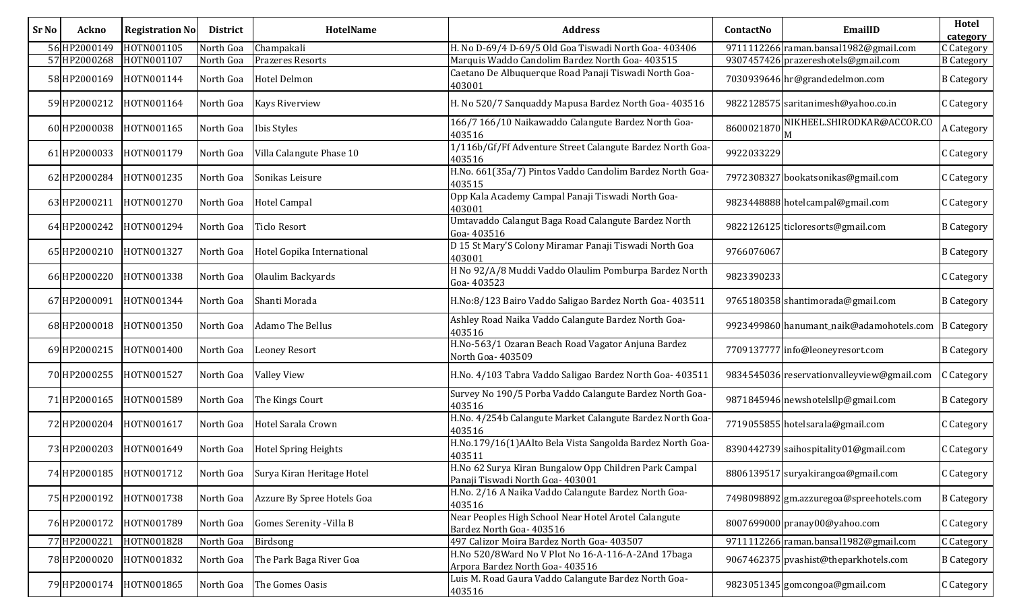| <b>Sr No</b> | Ackno        | <b>Registration No</b>  | <b>District</b> | <b>HotelName</b>            | <b>Address</b>                                                                            | ContactNo  | EmailID                                    | Hotel<br>category |
|--------------|--------------|-------------------------|-----------------|-----------------------------|-------------------------------------------------------------------------------------------|------------|--------------------------------------------|-------------------|
|              | 56 HP2000149 | HOTN001105              | North Goa       | Champakali                  | H. No D-69/4 D-69/5 Old Goa Tiswadi North Goa- 403406                                     |            | 9711112266 raman.bansal1982@gmail.com      | Category          |
|              | 57 HP2000268 | HOTN001107              | North Goa       | <b>Prazeres Resorts</b>     | Marquis Waddo Candolim Bardez North Goa- 403515                                           |            | 9307457426 prazereshotels@gmail.com        | <b>B</b> Category |
|              | 58 HP2000169 | HOTN001144              | North Goa       | <b>Hotel Delmon</b>         | Caetano De Albuquerque Road Panaji Tiswadi North Goa-<br>403001                           |            | 7030939646 hr@grandedelmon.com             | <b>B</b> Category |
|              | 59 HP2000212 | HOTN001164              | North Goa       | <b>Kays Riverview</b>       | H. No 520/7 Sanquaddy Mapusa Bardez North Goa- 403516                                     |            | 9822128575 saritanimesh@yahoo.co.in        | C Category        |
|              | 60 HP2000038 | HOTN001165              | North Goa       | Ibis Styles                 | 166/7 166/10 Naikawaddo Calangute Bardez North Goa-<br>403516                             | 8600021870 | NIKHEEL.SHIRODKAR@ACCOR.CO                 | A Category        |
|              | 61 HP2000033 | HOTN001179              | North Goa       | Villa Calangute Phase 10    | 1/116b/Gf/Ff Adventure Street Calangute Bardez North Goa-<br>403516                       | 9922033229 |                                            | C Category        |
|              | 62 HP2000284 | HOTN001235              | North Goa       | Sonikas Leisure             | H.No. 661(35a/7) Pintos Vaddo Candolim Bardez North Goa-<br>403515                        |            | 7972308327 bookatsonikas@gmail.com         | C Category        |
|              | 63 HP2000211 | HOTN001270              | North Goa       | Hotel Campal                | Opp Kala Academy Campal Panaji Tiswadi North Goa-<br>403001                               |            | 9823448888 hotelcampal@gmail.com           | C Category        |
|              | 64 HP2000242 | HOTN001294              | North Goa       | <b>Ticlo Resort</b>         | Umtavaddo Calangut Baga Road Calangute Bardez North<br>Goa-403516                         |            | 9822126125 ticloresorts@gmail.com          | <b>B</b> Category |
|              | 65 HP2000210 | HOTN001327              | North Goa       | Hotel Gopika International  | D 15 St Mary'S Colony Miramar Panaji Tiswadi North Goa<br>403001                          | 9766076067 |                                            | <b>B</b> Category |
|              | 66 HP2000220 | HOTN001338              | North Goa       | Olaulim Backyards           | H No 92/A/8 Muddi Vaddo Olaulim Pomburpa Bardez North<br>Goa-403523                       | 9823390233 |                                            | C Category        |
|              | 67 HP2000091 | HOTN001344              | North Goa       | Shanti Morada               | H.No:8/123 Bairo Vaddo Saligao Bardez North Goa- 403511                                   |            | 9765180358 shantimorada@gmail.com          | <b>B</b> Category |
|              | 68 HP2000018 | HOTN001350              | North Goa       | <b>Adamo The Bellus</b>     | Ashley Road Naika Vaddo Calangute Bardez North Goa-<br>403516                             |            | 9923499860 hanumant_naik@adamohotels.com   | <b>B</b> Category |
|              | 69 HP2000215 | HOTN001400              | North Goa       | <b>Leoney Resort</b>        | H.No-563/1 Ozaran Beach Road Vagator Anjuna Bardez<br>North Goa- 403509                   |            | 7709137777 info@leoneyresort.com           | <b>B</b> Category |
|              | 70 HP2000255 | HOTN001527              | North Goa       | <b>Valley View</b>          | H.No. 4/103 Tabra Vaddo Saligao Bardez North Goa- 403511                                  |            | 9834545036 reservationvalleyview@gmail.com | C Category        |
|              | 71 HP2000165 | HOTN001589              | North Goa       | The Kings Court             | Survey No 190/5 Porba Vaddo Calangute Bardez North Goa-<br>403516                         |            | 9871845946 newshotelsllp@gmail.com         | <b>B</b> Category |
|              | 72 HP2000204 | HOTN001617              | North Goa       | Hotel Sarala Crown          | H.No. 4/254b Calangute Market Calangute Bardez North Goa-<br>403516                       |            | 7719055855 hotelsarala@gmail.com           | C Category        |
|              | 73 HP2000203 | HOTN001649              | North Goa       | <b>Hotel Spring Heights</b> | H.No.179/16(1)AAlto Bela Vista Sangolda Bardez North Goa-<br>403511                       |            | 8390442739 saihospitality01@gmail.com      | Category :        |
|              |              | 74 HP2000185 HOTN001712 | North Goa       | Surya Kiran Heritage Hotel  | H.No 62 Surya Kiran Bungalow Opp Children Park Campal<br>Panaji Tiswadi North Goa- 403001 |            | 8806139517 suryakirangoa@gmail.com         | C Category        |
|              | 75 HP2000192 | HOTN001738              | North Goa       | Azzure By Spree Hotels Goa  | H.No. 2/16 A Naika Vaddo Calangute Bardez North Goa-<br>403516                            |            | 7498098892 gm.azzuregoa@spreehotels.com    | <b>B</b> Category |
|              |              | 76 HP2000172 HOTN001789 | North Goa       | Gomes Serenity - Villa B    | Near Peoples High School Near Hotel Arotel Calangute<br>Bardez North Goa- 403516          |            | 8007699000 pranay00@yahoo.com              | C Category        |
|              | 77 HP2000221 | HOTN001828              | North Goa       | Birdsong                    | 497 Calizor Moira Bardez North Goa- 403507                                                |            | 9711112266 raman.bansal1982@gmail.com      | C Category        |
|              | 78 HP2000020 | HOTN001832              | North Goa       | The Park Baga River Goa     | H.No 520/8Ward No V Plot No 16-A-116-A-2And 17baga<br>Arpora Bardez North Goa- 403516     |            | 9067462375 pvashist@theparkhotels.com      | <b>B</b> Category |
|              | 79 HP2000174 | HOTN001865              | North Goa       | The Gomes Oasis             | Luis M. Road Gaura Vaddo Calangute Bardez North Goa-<br>403516                            |            | 9823051345 gomcongoa@gmail.com             | C Category        |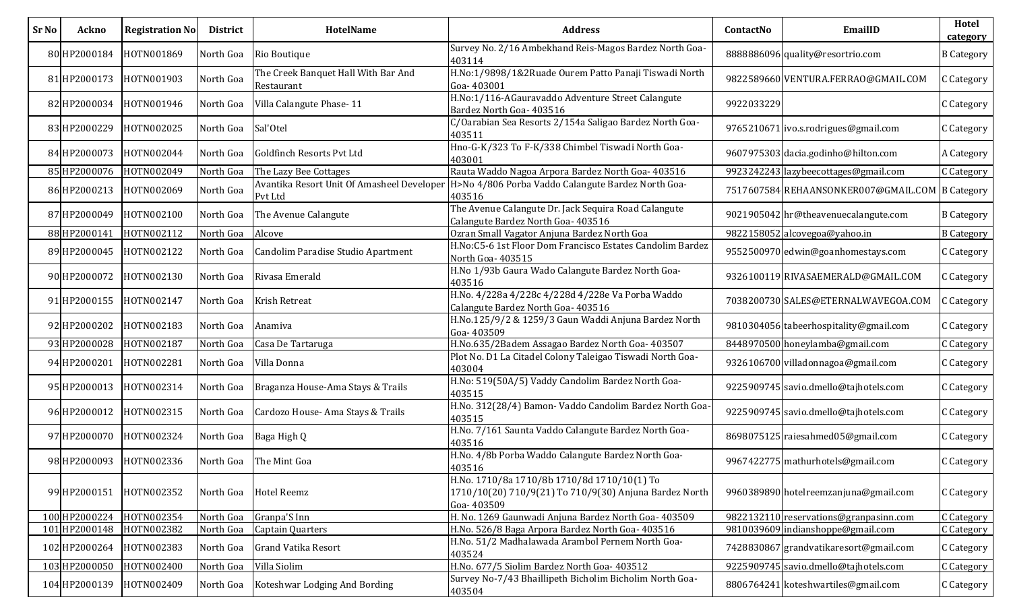| Sr No | Ackno         | <b>Registration No</b>  | <b>District</b> | HotelName                                                    | <b>Address</b>                                                                                                      | ContactNo  | EmailID                                         | Hotel<br>category |
|-------|---------------|-------------------------|-----------------|--------------------------------------------------------------|---------------------------------------------------------------------------------------------------------------------|------------|-------------------------------------------------|-------------------|
|       | 80 HP2000184  | HOTN001869              | North Goa       | Rio Boutique                                                 | Survey No. 2/16 Ambekhand Reis-Magos Bardez North Goa-<br>403114                                                    |            | 8888886096 quality@resortrio.com                | <b>B</b> Category |
|       | 81 HP2000173  | HOTN001903              | North Goa       | The Creek Banquet Hall With Bar And<br>Restaurant            | H.No:1/9898/1&2Ruade Ourem Patto Panaji Tiswadi North<br>Goa-403001                                                 |            | 9822589660 VENTURA.FERRAO@GMAIL.COM             | C Category        |
|       | 82 HP2000034  | HOTN001946              | North Goa       | Villa Calangute Phase-11                                     | H.No:1/116-AGauravaddo Adventure Street Calangute<br>Bardez North Goa- 403516                                       | 9922033229 |                                                 | C Category        |
|       | 83 HP2000229  | HOTN002025              | North Goa       | Sal'Otel                                                     | C/Oarabian Sea Resorts 2/154a Saligao Bardez North Goa-<br>403511                                                   |            | 9765210671 ivo.s.rodrigues@gmail.com            | C Category        |
|       | 84 HP2000073  | HOTN002044              | North Goa       | <b>Goldfinch Resorts Pvt Ltd</b>                             | Hno-G-K/323 To F-K/338 Chimbel Tiswadi North Goa-<br>403001                                                         |            | 9607975303 dacia.godinho@hilton.com             | A Category        |
|       | 85 HP2000076  | HOTN002049              | North Goa       | The Lazy Bee Cottages                                        | Rauta Waddo Nagoa Arpora Bardez North Goa- 403516                                                                   |            | 9923242243 lazybeecottages@gmail.com            | C Category        |
|       | 86 HP2000213  | HOTN002069              | North Goa       | Avantika Resort Unit Of Amasheel Developer<br><b>Pvt Ltd</b> | H>No 4/806 Porba Vaddo Calangute Bardez North Goa-<br>403516                                                        |            | 7517607584 REHAANSONKER007@GMAIL.COM B Category |                   |
|       | 87 HP2000049  | HOTN002100              | North Goa       | The Avenue Calangute                                         | The Avenue Calangute Dr. Jack Sequira Road Calangute<br>Calangute Bardez North Goa- 403516                          |            | 9021905042 hr@theavenuecalangute.com            | <b>B</b> Category |
|       | 88 HP2000141  | HOTN002112              | North Goa       | Alcove                                                       | Ozran Small Vagator Anjuna Bardez North Goa                                                                         |            | 9822158052 alcovegoa@yahoo.in                   | <b>B</b> Category |
|       | 89 HP2000045  | HOTN002122              | North Goa       | Candolim Paradise Studio Apartment                           | H.No:C5-6 1st Floor Dom Francisco Estates Candolim Bardez<br>North Goa- 403515                                      |            | 9552500970 edwin@goanhomestays.com              | C Category        |
|       | 90 HP2000072  | HOTN002130              | North Goa       | Rivasa Emerald                                               | H.No 1/93b Gaura Wado Calangute Bardez North Goa-<br>403516                                                         |            | 9326100119 RIVASAEMERALD@GMAIL.COM              | C Category        |
|       | 91 HP2000155  | HOTN002147              | North Goa       | <b>Krish Retreat</b>                                         | H.No. 4/228a 4/228c 4/228d 4/228e Va Porba Waddo<br>Calangute Bardez North Goa- 403516                              |            | 7038200730 SALES@ETERNALWAVEGOA.COM             | C Category        |
|       | 92 HP2000202  | HOTN002183              | North Goa       | Anamiva                                                      | H.No.125/9/2 & 1259/3 Gaun Waddi Anjuna Bardez North<br>Goa-403509                                                  |            | 9810304056 tabeerhospitality@gmail.com          | C Category        |
|       | 93 HP2000028  | HOTN002187              | North Goa       | Casa De Tartaruga                                            | H.No.635/2Badem Assagao Bardez North Goa- 403507                                                                    |            | 8448970500 honeylamba@gmail.com                 | C Category        |
|       | 94 HP2000201  | HOTN002281              | North Goa       | Villa Donna                                                  | Plot No. D1 La Citadel Colony Taleigao Tiswadi North Goa-<br>403004                                                 |            | 9326106700 villadonnagoa@gmail.com              | C Category        |
|       | 95 HP2000013  | HOTN002314              | North Goa       | Braganza House-Ama Stays & Trails                            | H.No: 519(50A/5) Vaddy Candolim Bardez North Goa-<br>403515                                                         |            | 9225909745 savio.dmello@tajhotels.com           | C Category        |
|       | 96 HP2000012  | HOTN002315              | North Goa       | Cardozo House-Ama Stays & Trails                             | H.No. 312(28/4) Bamon-Vaddo Candolim Bardez North Goa-<br>403515                                                    |            | 9225909745 savio.dmello@tajhotels.com           | C Category        |
|       | 97 HP2000070  | HOTN002324              | North Goa       | Baga High Q                                                  | H.No. 7/161 Saunta Vaddo Calangute Bardez North Goa-<br>403516                                                      |            | 8698075125 raiesahmed05@gmail.com               | C Category        |
|       |               | 98 HP2000093 HOTN002336 |                 | North Goa The Mint Goa                                       | H.No. 4/8b Porba Waddo Calangute Bardez North Goa-<br>403516                                                        |            | 9967422775 mathurhotels@gmail.com               | C Category        |
|       | 99 HP2000151  | HOTN002352              | North Goa       | Hotel Reemz                                                  | H.No. 1710/8a 1710/8b 1710/8d 1710/10(1) To<br>1710/10(20) 710/9(21) To 710/9(30) Anjuna Bardez North<br>Goa-403509 |            | 9960389890 hotelreemzanjuna@gmail.com           | C Category        |
|       | 100 HP2000224 | HOTN002354              | North Goa       | Granpa'S Inn                                                 | H. No. 1269 Gaunwadi Anjuna Bardez North Goa- 403509                                                                |            | 9822132110 reservations@granpasinn.com          | C Category        |
|       | 101 HP2000148 | HOTN002382              | North Goa       | Captain Quarters                                             | H.No. 526/8 Baga Arpora Bardez North Goa- 403516                                                                    |            | 9810039609 indianshoppe@gmail.com               | C Category        |
|       | 102 HP2000264 | HOTN002383              | North Goa       | <b>Grand Vatika Resort</b>                                   | H.No. 51/2 Madhalawada Arambol Pernem North Goa-<br>403524                                                          |            | 7428830867 grandvatikaresort@gmail.com          | C Category        |
|       | 103 HP2000050 | HOTN002400              | North Goa       | Villa Siolim                                                 | H.No. 677/5 Siolim Bardez North Goa- 403512                                                                         |            | 9225909745 savio.dmello@tajhotels.com           | C Category        |
|       | 104 HP2000139 | HOTN002409              | North Goa       | Koteshwar Lodging And Bording                                | Survey No-7/43 Bhaillipeth Bicholim Bicholim North Goa-<br>403504                                                   |            | 8806764241 koteshwartiles@gmail.com             | C Category        |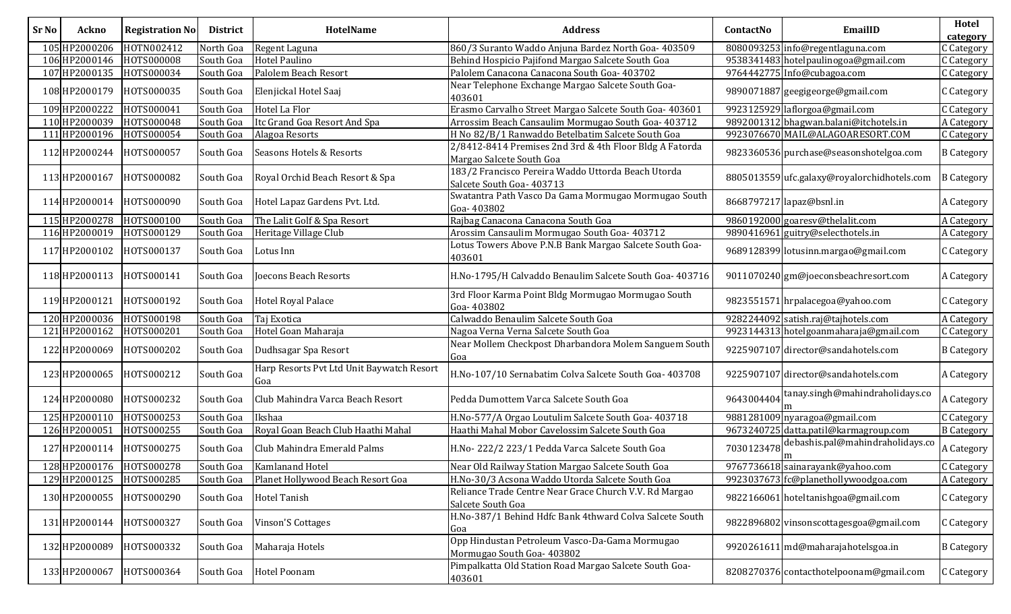| Ackno |                                                                                                                                                                                                                                                                                                                                                                                                                                                                                         | <b>District</b>                                                                                                                                                                                                                                                                                                                                                          | <b>HotelName</b>                                 | <b>Address</b>                                                                      | ContactNo                                                                                                                                                                                                                                                                     | EmailID                          | Hotel<br>category                                                                                                                                                                                                                                                                                                                                                                                                                                                                                                                                                                                                                                                                                                                                                                                                                                                                                                                                                                                                                                          |
|-------|-----------------------------------------------------------------------------------------------------------------------------------------------------------------------------------------------------------------------------------------------------------------------------------------------------------------------------------------------------------------------------------------------------------------------------------------------------------------------------------------|--------------------------------------------------------------------------------------------------------------------------------------------------------------------------------------------------------------------------------------------------------------------------------------------------------------------------------------------------------------------------|--------------------------------------------------|-------------------------------------------------------------------------------------|-------------------------------------------------------------------------------------------------------------------------------------------------------------------------------------------------------------------------------------------------------------------------------|----------------------------------|------------------------------------------------------------------------------------------------------------------------------------------------------------------------------------------------------------------------------------------------------------------------------------------------------------------------------------------------------------------------------------------------------------------------------------------------------------------------------------------------------------------------------------------------------------------------------------------------------------------------------------------------------------------------------------------------------------------------------------------------------------------------------------------------------------------------------------------------------------------------------------------------------------------------------------------------------------------------------------------------------------------------------------------------------------|
|       |                                                                                                                                                                                                                                                                                                                                                                                                                                                                                         | North Goa                                                                                                                                                                                                                                                                                                                                                                | Regent Laguna                                    | 860/3 Suranto Waddo Anjuna Bardez North Goa- 403509                                 |                                                                                                                                                                                                                                                                               |                                  | C Category                                                                                                                                                                                                                                                                                                                                                                                                                                                                                                                                                                                                                                                                                                                                                                                                                                                                                                                                                                                                                                                 |
|       |                                                                                                                                                                                                                                                                                                                                                                                                                                                                                         | South Goa                                                                                                                                                                                                                                                                                                                                                                | Hotel Paulino                                    | Behind Hospicio Pajifond Margao Salcete South Goa                                   |                                                                                                                                                                                                                                                                               |                                  | C Category                                                                                                                                                                                                                                                                                                                                                                                                                                                                                                                                                                                                                                                                                                                                                                                                                                                                                                                                                                                                                                                 |
|       |                                                                                                                                                                                                                                                                                                                                                                                                                                                                                         | South Goa                                                                                                                                                                                                                                                                                                                                                                | Palolem Beach Resort                             | Palolem Canacona Canacona South Goa- 403702                                         |                                                                                                                                                                                                                                                                               |                                  | C Category                                                                                                                                                                                                                                                                                                                                                                                                                                                                                                                                                                                                                                                                                                                                                                                                                                                                                                                                                                                                                                                 |
|       |                                                                                                                                                                                                                                                                                                                                                                                                                                                                                         | South Goa                                                                                                                                                                                                                                                                                                                                                                | Elenjickal Hotel Saaj                            | Near Telephone Exchange Margao Salcete South Goa-<br>403601                         |                                                                                                                                                                                                                                                                               |                                  | C Category                                                                                                                                                                                                                                                                                                                                                                                                                                                                                                                                                                                                                                                                                                                                                                                                                                                                                                                                                                                                                                                 |
|       |                                                                                                                                                                                                                                                                                                                                                                                                                                                                                         | South Goa                                                                                                                                                                                                                                                                                                                                                                | Hotel La Flor                                    | Erasmo Carvalho Street Margao Salcete South Goa- 403601                             |                                                                                                                                                                                                                                                                               |                                  | C Category                                                                                                                                                                                                                                                                                                                                                                                                                                                                                                                                                                                                                                                                                                                                                                                                                                                                                                                                                                                                                                                 |
|       |                                                                                                                                                                                                                                                                                                                                                                                                                                                                                         | South Goa                                                                                                                                                                                                                                                                                                                                                                | Itc Grand Goa Resort And Spa                     | Arrossim Beach Cansaulim Mormugao South Goa- 403712                                 |                                                                                                                                                                                                                                                                               |                                  | A Category                                                                                                                                                                                                                                                                                                                                                                                                                                                                                                                                                                                                                                                                                                                                                                                                                                                                                                                                                                                                                                                 |
|       |                                                                                                                                                                                                                                                                                                                                                                                                                                                                                         | South Goa                                                                                                                                                                                                                                                                                                                                                                | Alagoa Resorts                                   | H No 82/B/1 Ranwaddo Betelbatim Salcete South Goa                                   |                                                                                                                                                                                                                                                                               |                                  | C Category                                                                                                                                                                                                                                                                                                                                                                                                                                                                                                                                                                                                                                                                                                                                                                                                                                                                                                                                                                                                                                                 |
|       | H0TS000057                                                                                                                                                                                                                                                                                                                                                                                                                                                                              | South Goa                                                                                                                                                                                                                                                                                                                                                                | <b>Seasons Hotels &amp; Resorts</b>              | 2/8412-8414 Premises 2nd 3rd & 4th Floor Bldg A Fatorda<br>Margao Salcete South Goa |                                                                                                                                                                                                                                                                               |                                  | <b>B</b> Category                                                                                                                                                                                                                                                                                                                                                                                                                                                                                                                                                                                                                                                                                                                                                                                                                                                                                                                                                                                                                                          |
|       |                                                                                                                                                                                                                                                                                                                                                                                                                                                                                         | South Goa                                                                                                                                                                                                                                                                                                                                                                | Royal Orchid Beach Resort & Spa                  | 183/2 Francisco Pereira Waddo Uttorda Beach Utorda<br>Salcete South Goa- 403713     |                                                                                                                                                                                                                                                                               |                                  | <b>B</b> Category                                                                                                                                                                                                                                                                                                                                                                                                                                                                                                                                                                                                                                                                                                                                                                                                                                                                                                                                                                                                                                          |
|       |                                                                                                                                                                                                                                                                                                                                                                                                                                                                                         | South Goa                                                                                                                                                                                                                                                                                                                                                                | Hotel Lapaz Gardens Pvt. Ltd.                    | Swatantra Path Vasco Da Gama Mormugao Mormugao South<br>Goa-403802                  |                                                                                                                                                                                                                                                                               |                                  | A Category                                                                                                                                                                                                                                                                                                                                                                                                                                                                                                                                                                                                                                                                                                                                                                                                                                                                                                                                                                                                                                                 |
|       |                                                                                                                                                                                                                                                                                                                                                                                                                                                                                         | South Goa                                                                                                                                                                                                                                                                                                                                                                | The Lalit Golf & Spa Resort                      | Rajbag Canacona Canacona South Goa                                                  |                                                                                                                                                                                                                                                                               |                                  | A Category                                                                                                                                                                                                                                                                                                                                                                                                                                                                                                                                                                                                                                                                                                                                                                                                                                                                                                                                                                                                                                                 |
|       |                                                                                                                                                                                                                                                                                                                                                                                                                                                                                         | South Goa                                                                                                                                                                                                                                                                                                                                                                | Heritage Village Club                            | Arossim Cansaulim Mormugao South Goa- 403712                                        |                                                                                                                                                                                                                                                                               |                                  | A Category                                                                                                                                                                                                                                                                                                                                                                                                                                                                                                                                                                                                                                                                                                                                                                                                                                                                                                                                                                                                                                                 |
|       | HOTS000137                                                                                                                                                                                                                                                                                                                                                                                                                                                                              | South Goa                                                                                                                                                                                                                                                                                                                                                                | Lotus Inn                                        | Lotus Towers Above P.N.B Bank Margao Salcete South Goa-<br>403601                   |                                                                                                                                                                                                                                                                               |                                  | C Category                                                                                                                                                                                                                                                                                                                                                                                                                                                                                                                                                                                                                                                                                                                                                                                                                                                                                                                                                                                                                                                 |
|       |                                                                                                                                                                                                                                                                                                                                                                                                                                                                                         | South Goa                                                                                                                                                                                                                                                                                                                                                                | Joecons Beach Resorts                            | H.No-1795/H Calvaddo Benaulim Salcete South Goa- 403716                             |                                                                                                                                                                                                                                                                               |                                  | A Category                                                                                                                                                                                                                                                                                                                                                                                                                                                                                                                                                                                                                                                                                                                                                                                                                                                                                                                                                                                                                                                 |
|       |                                                                                                                                                                                                                                                                                                                                                                                                                                                                                         | South Goa                                                                                                                                                                                                                                                                                                                                                                | <b>Hotel Royal Palace</b>                        | 3rd Floor Karma Point Bldg Mormugao Mormugao South<br>Goa-403802                    |                                                                                                                                                                                                                                                                               |                                  | C Category                                                                                                                                                                                                                                                                                                                                                                                                                                                                                                                                                                                                                                                                                                                                                                                                                                                                                                                                                                                                                                                 |
|       |                                                                                                                                                                                                                                                                                                                                                                                                                                                                                         | South Goa                                                                                                                                                                                                                                                                                                                                                                | Taj Exotica                                      | Calwaddo Benaulim Salcete South Goa                                                 |                                                                                                                                                                                                                                                                               |                                  | A Category                                                                                                                                                                                                                                                                                                                                                                                                                                                                                                                                                                                                                                                                                                                                                                                                                                                                                                                                                                                                                                                 |
|       |                                                                                                                                                                                                                                                                                                                                                                                                                                                                                         | South Goa                                                                                                                                                                                                                                                                                                                                                                | Hotel Goan Maharaja                              | Nagoa Verna Verna Salcete South Goa                                                 |                                                                                                                                                                                                                                                                               |                                  | C Category                                                                                                                                                                                                                                                                                                                                                                                                                                                                                                                                                                                                                                                                                                                                                                                                                                                                                                                                                                                                                                                 |
|       |                                                                                                                                                                                                                                                                                                                                                                                                                                                                                         | South Goa                                                                                                                                                                                                                                                                                                                                                                | Dudhsagar Spa Resort                             | Near Mollem Checkpost Dharbandora Molem Sanguem South<br>Goa                        |                                                                                                                                                                                                                                                                               |                                  | <b>B</b> Category                                                                                                                                                                                                                                                                                                                                                                                                                                                                                                                                                                                                                                                                                                                                                                                                                                                                                                                                                                                                                                          |
|       | HOTS000212                                                                                                                                                                                                                                                                                                                                                                                                                                                                              | South Goa                                                                                                                                                                                                                                                                                                                                                                | Harp Resorts Pvt Ltd Unit Baywatch Resort<br>Goa |                                                                                     |                                                                                                                                                                                                                                                                               |                                  | A Category                                                                                                                                                                                                                                                                                                                                                                                                                                                                                                                                                                                                                                                                                                                                                                                                                                                                                                                                                                                                                                                 |
|       |                                                                                                                                                                                                                                                                                                                                                                                                                                                                                         | South Goa                                                                                                                                                                                                                                                                                                                                                                | Club Mahindra Varca Beach Resort                 | Pedda Dumottem Varca Salcete South Goa                                              | 9643004404                                                                                                                                                                                                                                                                    | tanay.singh@mahindraholidays.co  | A Category                                                                                                                                                                                                                                                                                                                                                                                                                                                                                                                                                                                                                                                                                                                                                                                                                                                                                                                                                                                                                                                 |
|       |                                                                                                                                                                                                                                                                                                                                                                                                                                                                                         | South Goa                                                                                                                                                                                                                                                                                                                                                                | Ikshaa                                           |                                                                                     | 9881281009                                                                                                                                                                                                                                                                    |                                  | C Category                                                                                                                                                                                                                                                                                                                                                                                                                                                                                                                                                                                                                                                                                                                                                                                                                                                                                                                                                                                                                                                 |
|       |                                                                                                                                                                                                                                                                                                                                                                                                                                                                                         | South Goa                                                                                                                                                                                                                                                                                                                                                                |                                                  | Haathi Mahal Mobor Cavelossim Salcete South Goa                                     |                                                                                                                                                                                                                                                                               |                                  | <b>B</b> Category                                                                                                                                                                                                                                                                                                                                                                                                                                                                                                                                                                                                                                                                                                                                                                                                                                                                                                                                                                                                                                          |
|       |                                                                                                                                                                                                                                                                                                                                                                                                                                                                                         | South Goa                                                                                                                                                                                                                                                                                                                                                                | Club Mahindra Emerald Palms                      |                                                                                     | 7030123478                                                                                                                                                                                                                                                                    | debashis.pal@mahindraholidays.co | A Category                                                                                                                                                                                                                                                                                                                                                                                                                                                                                                                                                                                                                                                                                                                                                                                                                                                                                                                                                                                                                                                 |
|       |                                                                                                                                                                                                                                                                                                                                                                                                                                                                                         |                                                                                                                                                                                                                                                                                                                                                                          |                                                  | Near Old Railway Station Margao Salcete South Goa                                   |                                                                                                                                                                                                                                                                               |                                  | C Category                                                                                                                                                                                                                                                                                                                                                                                                                                                                                                                                                                                                                                                                                                                                                                                                                                                                                                                                                                                                                                                 |
|       |                                                                                                                                                                                                                                                                                                                                                                                                                                                                                         | South Goa                                                                                                                                                                                                                                                                                                                                                                | Planet Hollywood Beach Resort Goa                |                                                                                     |                                                                                                                                                                                                                                                                               |                                  | A Category                                                                                                                                                                                                                                                                                                                                                                                                                                                                                                                                                                                                                                                                                                                                                                                                                                                                                                                                                                                                                                                 |
|       | HOTS000290                                                                                                                                                                                                                                                                                                                                                                                                                                                                              | South Goa                                                                                                                                                                                                                                                                                                                                                                | <b>Hotel Tanish</b>                              | Reliance Trade Centre Near Grace Church V.V. Rd Margao<br>Salcete South Goa         |                                                                                                                                                                                                                                                                               |                                  | C Category                                                                                                                                                                                                                                                                                                                                                                                                                                                                                                                                                                                                                                                                                                                                                                                                                                                                                                                                                                                                                                                 |
|       |                                                                                                                                                                                                                                                                                                                                                                                                                                                                                         | South Goa                                                                                                                                                                                                                                                                                                                                                                | <b>Vinson'S Cottages</b>                         | Goa                                                                                 |                                                                                                                                                                                                                                                                               |                                  | C Category                                                                                                                                                                                                                                                                                                                                                                                                                                                                                                                                                                                                                                                                                                                                                                                                                                                                                                                                                                                                                                                 |
|       |                                                                                                                                                                                                                                                                                                                                                                                                                                                                                         | South Goa                                                                                                                                                                                                                                                                                                                                                                | Maharaja Hotels                                  | Opp Hindustan Petroleum Vasco-Da-Gama Mormugao<br>Mormugao South Goa- 403802        |                                                                                                                                                                                                                                                                               |                                  | <b>B</b> Category                                                                                                                                                                                                                                                                                                                                                                                                                                                                                                                                                                                                                                                                                                                                                                                                                                                                                                                                                                                                                                          |
|       |                                                                                                                                                                                                                                                                                                                                                                                                                                                                                         |                                                                                                                                                                                                                                                                                                                                                                          | <b>Hotel Poonam</b>                              | Pimpalkatta Old Station Road Margao Salcete South Goa-<br>403601                    |                                                                                                                                                                                                                                                                               |                                  | C Category                                                                                                                                                                                                                                                                                                                                                                                                                                                                                                                                                                                                                                                                                                                                                                                                                                                                                                                                                                                                                                                 |
|       | 105 HP2000206<br>106 HP2000146<br>107 HP2000135<br>108 HP2000179<br>109 HP2000222<br>110 HP2000039<br>111 HP2000196<br>112 HP2000244<br>113 HP2000167<br>114 HP2000014<br>115 HP2000278<br>116 HP2000019<br>117 HP2000102<br>118 HP2000113<br>119HP2000121<br>120 HP2000036<br>121 HP2000162<br>122 HP2000069<br>123 HP2000065<br>124 HP2000080<br>125 HP2000110<br>126 HP2000051<br>127 HP2000114<br>129 HP2000125<br>130 HP2000055<br>131 HP2000144<br>132 HP2000089<br>133 HP2000067 | HOTN002412<br>HOTS000008<br>HOTS000034<br>HOTS000035<br>HOTS000041<br>HOTS000048<br>HOTS000054<br>HOTS000082<br>HOTS000090<br>HOTS000100<br>HOTS000129<br>HOTS000141<br>HOTS000192<br>HOTS000198<br>HOTS000201<br>HOTS000202<br>HOTS000232<br>HOTS000253<br>HOTS000255<br>HOTS000275<br>128 HP2000176 HOTS000278<br>HOTS000285<br>HOTS000327<br>HOTS000332<br>HOTS000364 | <b>Registration No</b><br>South Goa              | Royal Goan Beach Club Haathi Mahal<br>South Goa   Kamlanand Hotel                   | H.No-107/10 Sernabatim Colva Salcete South Goa- 403708<br>H.No-577/A Orgao Loutulim Salcete South Goa- 403718<br>H.No-222/2 223/1 Pedda Varca Salcete South Goa<br>H.No-30/3 Acsona Waddo Utorda Salcete South Goa<br>H.No-387/1 Behind Hdfc Bank 4thward Colva Salcete South |                                  | 8080093253 info@regentlaguna.com<br>9538341483 hotelpaulinogoa@gmail.com<br>9764442775 Info@cubagoa.com<br>9890071887 geegigeorge@gmail.com<br>9923125929 laflorgoa@gmail.com<br>9892001312 bhagwan.balani@itchotels.in<br>9923076670 MAIL@ALAGOARESORT.COM<br>9823360536 purchase@seasonshotelgoa.com<br>8805013559 ufc.galaxy@royalorchidhotels.com<br>8668797217 lapaz@bsnl.in<br>9860192000 goaresv@thelalit.com<br>9890416961 guitry@selecthotels.in<br>9689128399 lotusinn.margao@gmail.com<br>9011070240 gm@joeconsbeachresort.com<br>9823551571 hrpalacegoa@yahoo.com<br>9282244092 satish.raj@tajhotels.com<br>9923144313 hotelgoanmaharaja@gmail.com<br>9225907107 director@sandahotels.com<br>9225907107 director@sandahotels.com<br>nyaragoa@gmail.com<br>9673240725 datta.patil@karmagroup.com<br>9767736618 sainarayank@yahoo.com<br>9923037673 fc@planethollywoodgoa.com<br>9822166061 hoteltanishgoa@gmail.com<br>9822896802 vinsonscottagesgoa@gmail.com<br>9920261611 md@maharajahotelsgoa.in<br>8208270376 contacthotelpoonam@gmail.com |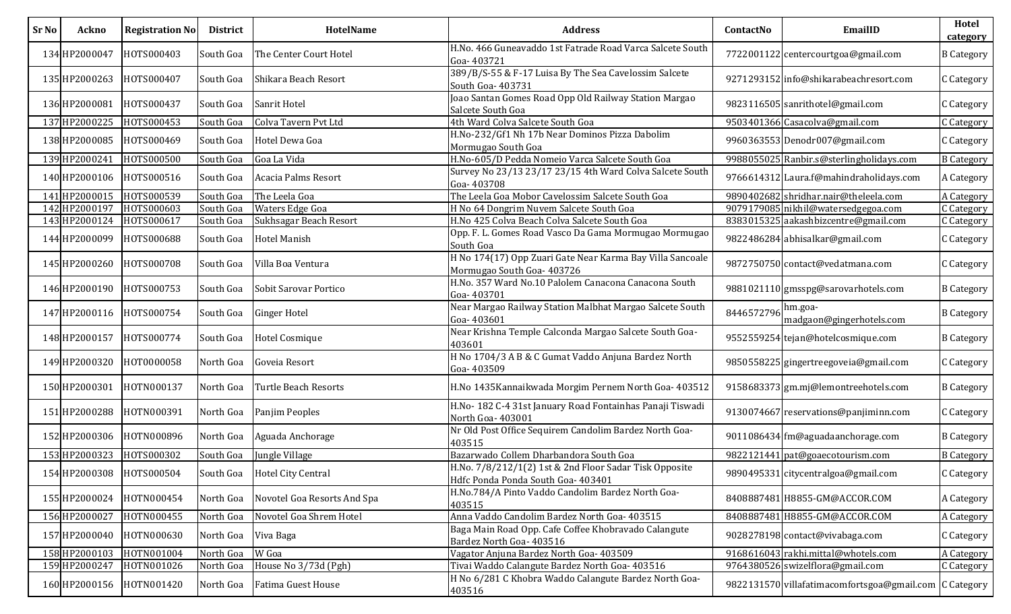| <b>Sr No</b> | Ackno         | <b>Registration No</b> | <b>District</b> | HotelName                    | <b>Address</b>                                                                               | ContactNo  | EmailID                                                | Hotel<br>category |
|--------------|---------------|------------------------|-----------------|------------------------------|----------------------------------------------------------------------------------------------|------------|--------------------------------------------------------|-------------------|
|              | 134 HP2000047 | HOTS000403             | South Goa       | The Center Court Hotel       | H.No. 466 Guneavaddo 1st Fatrade Road Varca Salcete South<br>Goa-403721                      |            | 7722001122 centercourtgoa@gmail.com                    | <b>B</b> Category |
|              | 135 HP2000263 | HOTS000407             | South Goa       | Shikara Beach Resort         | 389/B/S-55 & F-17 Luisa By The Sea Cavelossim Salcete<br>South Goa- 403731                   |            | 9271293152 info@shikarabeachresort.com                 | C Category        |
|              | 136 HP2000081 | HOTS000437             | South Goa       | Sanrit Hotel                 | Joao Santan Gomes Road Opp Old Railway Station Margao<br>Salcete South Goa                   |            | 9823116505 sanrithotel@gmail.com                       | C Category        |
|              | 137 HP2000225 | HOTS000453             | South Goa       | Colva Tavern Pvt Ltd         | 4th Ward Colva Salcete South Goa                                                             |            | 9503401366 Casacolva@gmail.com                         | C Category        |
|              | 138 HP2000085 | HOTS000469             | South Goa       | Hotel Dewa Goa               | H.No-232/Gf1 Nh 17b Near Dominos Pizza Dabolim<br>Mormugao South Goa                         |            | 9960363553 Denodr007@gmail.com                         | C Category        |
|              | 139 HP2000241 | HOTS000500             | South Goa       | Goa La Vida                  | H.No-605/D Pedda Nomeio Varca Salcete South Goa                                              |            | 9988055025 Ranbir.s@sterlingholidays.com               | <b>B</b> Category |
|              | 140 HP2000106 | HOTS000516             | South Goa       | Acacia Palms Resort          | Survey No 23/13 23/17 23/15 4th Ward Colva Salcete South<br>Goa-403708                       |            | 9766614312 Laura.f@mahindraholidays.com                | A Category        |
|              | 141 HP2000015 | HOTS000539             | South Goa       | The Leela Goa                | The Leela Goa Mobor Cavelossim Salcete South Goa                                             |            | 9890402682 shridhar.nair@theleela.com                  | A Category        |
|              | 142 HP2000197 | HOTS000603             | South Goa       | Waters Edge Goa              | H No 64 Dongrim Nuvem Salcete South Goa                                                      |            | 9079179085 nikhil@watersedgegoa.com                    | C Category        |
|              | 143 HP2000124 | HOTS000617             | South Goa       | Sukhsagar Beach Resort       | H.No 425 Colva Beach Colva Salcete South Goa                                                 |            | 8383015325 aakashbizcentre@gmail.com                   | C Category        |
|              | 144 HP2000099 | HOTS000688             | South Goa       | <b>Hotel Manish</b>          | Opp. F. L. Gomes Road Vasco Da Gama Mormugao Mormugao<br>South Goa                           |            | 9822486284 abhisalkar@gmail.com                        | C Category        |
|              | 145 HP2000260 | HOTS000708             | South Goa       | Villa Boa Ventura            | H No 174(17) Opp Zuari Gate Near Karma Bay Villa Sancoale<br>Mormugao South Goa- 403726      |            | 9872750750 contact@vedatmana.com                       | C Category        |
|              | 146 HP2000190 | HOTS000753             | South Goa       | Sobit Sarovar Portico        | H.No. 357 Ward No.10 Palolem Canacona Canacona South<br>Goa-403701                           |            | 9881021110 gmsspg@sarovarhotels.com                    | <b>B</b> Category |
|              | 147 HP2000116 | HOTS000754             | South Goa       | <b>Ginger Hotel</b>          | Near Margao Railway Station Malbhat Margao Salcete South<br>Goa-403601                       | 8446572796 | hm.goa-<br>madgaon@gingerhotels.com                    | <b>B</b> Category |
|              | 148 HP2000157 | HOTS000774             | South Goa       | <b>Hotel Cosmique</b>        | Near Krishna Temple Calconda Margao Salcete South Goa-<br>403601                             |            | 9552559254 tejan@hotelcosmique.com                     | <b>B</b> Category |
|              | 149 HP2000320 | HOT0000058             | North Goa       | Goveia Resort                | H No 1704/3 A B & C Gumat Vaddo Anjuna Bardez North<br>Goa-403509                            |            | 9850558225 gingertreegoveia@gmail.com                  | C Category        |
|              | 150 HP2000301 | HOTN000137             | North Goa       | <b>Turtle Beach Resorts</b>  | H.No 1435 Kannaikwada Morgim Pernem North Goa- 403512                                        |            | 9158683373 gm.mj@lemontreehotels.com                   | <b>B</b> Category |
|              | 151 HP2000288 | HOTN000391             | North Goa       | Panjim Peoples               | H.No- 182 C-4 31st January Road Fontainhas Panaji Tiswadi<br>North Goa- 403001               |            | 9130074667 reservations@panjiminn.com                  | C Category        |
|              | 152 HP2000306 | HOTN000896             | North Goa       | Aguada Anchorage             | Nr Old Post Office Sequirem Candolim Bardez North Goa-<br>403515                             |            | 9011086434 fm@aguadaanchorage.com                      | <b>B</b> Category |
|              | 153 HP2000323 | HOTS000302             | South Goa       | Jungle Village               | Bazarwado Collem Dharbandora South Goa                                                       |            | 9822121441 pat@goaecotourism.com                       | <b>B</b> Category |
|              | 154 HP2000308 | HOTS000504             |                 | South Goa Hotel City Central | H.No. 7/8/212/1(2) 1st & 2nd Floor Sadar Tisk Opposite<br>Hdfc Ponda Ponda South Goa- 403401 |            | 9890495331 citycentralgoa@gmail.com                    | C Category        |
|              | 155 HP2000024 | HOTN000454             | North Goa       | Novotel Goa Resorts And Spa  | H.No.784/A Pinto Vaddo Candolim Bardez North Goa-<br>403515                                  |            | 8408887481 H8855-GM@ACCOR.COM                          | A Category        |
|              | 156 HP2000027 | HOTN000455             | North Goa       | Novotel Goa Shrem Hotel      | Anna Vaddo Candolim Bardez North Goa- 403515                                                 |            | 8408887481 H8855-GM@ACCOR.COM                          | A Category        |
|              | 157 HP2000040 | HOTN000630             | North Goa       | Viva Baga                    | Baga Main Road Opp. Cafe Coffee Khobravado Calangute<br>Bardez North Goa- 403516             |            | 9028278198 contact@vivabaga.com                        | C Category        |
|              | 158 HP2000103 | HOTN001004             | North Goa       | W Goa                        | Vagator Anjuna Bardez North Goa- 403509                                                      |            | 9168616043 rakhi.mittal@whotels.com                    | A Category        |
|              | 159 HP2000247 | HOTN001026             | North Goa       | House No 3/73d (Pgh)         | Tivai Waddo Calangute Bardez North Goa- 403516                                               |            | 9764380526 swizelflora@gmail.com                       | C Category        |
|              | 160 HP2000156 | HOTN001420             | North Goa       | <b>Fatima Guest House</b>    | H No 6/281 C Khobra Waddo Calangute Bardez North Goa-<br>403516                              |            | 9822131570 villafatimacomfortsgoa@gmail.com C Category |                   |